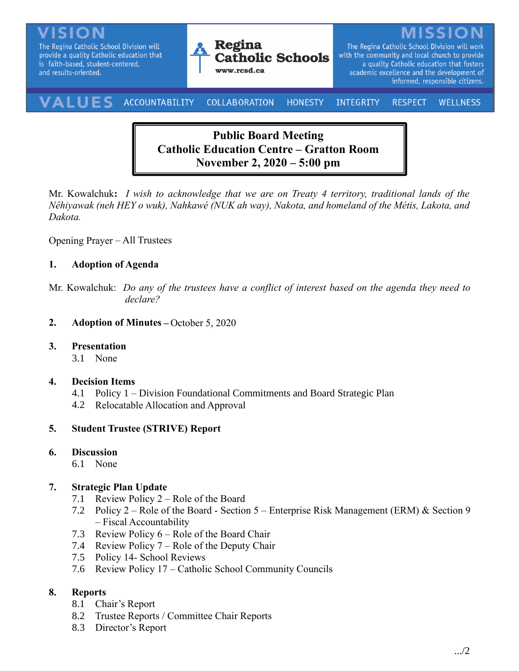The Regina Catholic School Division will provide a quality Catholic education that is faith-based, student-centered, and results-oriented.



The Regina Catholic School Division will work with the community and local church to provide a quality Catholic education that fosters academic excellence and the development of informed, responsible citizens.

#### VALUES ACCOUNTABILITY **COLLABORATION** INTEGRITY **HONESTY RESPECT WELLNESS**

# **Public Board Meeting Catholic Education Centre – Gratton Room November 2, 2020 – 5:00 pm**

Mr. Kowalchuk**:** *I wish to acknowledge that we are on Treaty 4 territory, traditional lands of the Nêhiyawak (neh HEY o wuk), Nahkawé (NUK ah way), Nakota, and homeland of the Métis, Lakota, and Dakota.*

Opening Prayer – All Trustees

### **1. Adoption of Agenda**

Mr. Kowalchuk: *Do any of the trustees have a conflict of interest based on the agenda they need to declare?*

**2. Adoption of Minutes –** October 5, 2020

### **3. Presentation**

3.1 None

### **4. Decision Items**

- 4.1 Policy 1 Division Foundational Commitments and Board Strategic Plan
- 4.2 Relocatable Allocation and Approval

### **5. Student Trustee (STRIVE) Report**

#### **6. Discussion**

6.1 None

### **7. Strategic Plan Update**

- 7.1 Review Policy 2 Role of the Board
- 7.2 Policy 2 Role of the Board Section 5 Enterprise Risk Management (ERM) & Section 9 – Fiscal Accountability
- 7.3 Review Policy 6 Role of the Board Chair
- 7.4 Review Policy 7 Role of the Deputy Chair
- 7.5 Policy 14- School Reviews
- 7.6 Review Policy 17 Catholic School Community Councils

### **8. Reports**

- 8.1 Chair's Report
- 8.2 Trustee Reports / Committee Chair Reports
- 8.3 Director's Report